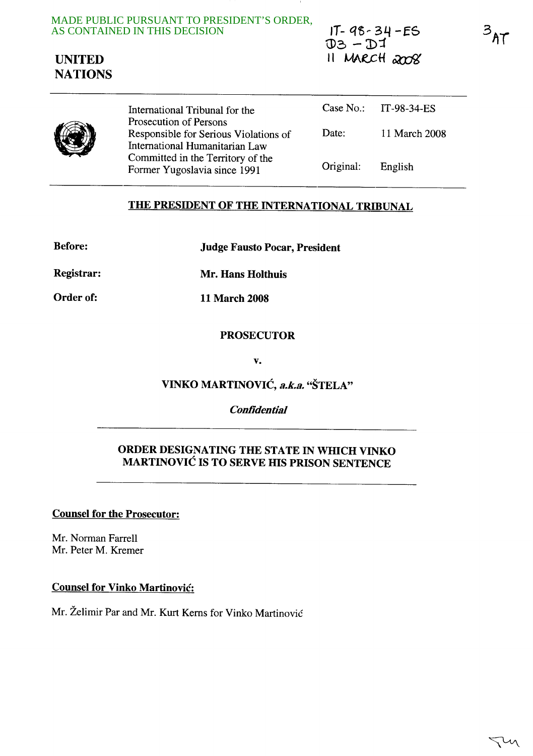MADE PUBLIC PURSUANT TO PRESIDENT'S ORDER, AS CONTAINED IN THIS DECISION



 $IT - 98 - 34 - ES$  $DB - DI$  $11$  MARCH  $2008$   $3_{AT}$ 



International Tribunal for the Prosecution of Persons Responsible for Serious Violations of International Humanitarian Law Committed in the Territory of the Former Yugoslavia since 1991 Case No.: IT-98-34-ES Date: 11 March 2008 Original: English

# THE PRESIDENT OF THE INTERNATIONAL TRIBUNAL

Before: Judge Fausto Pocar, President

Registrar: Mr. Hans Holthuis

Order of: 11 March 2008

### PROSECUTOR

v.

VINKO MARTINOVIĆ, a.k.a. "ŠTELA"

## **Confidential**

## ORDER DESIGNATING THE STATE IN WHICH VINKO MARTINOVIC IS TO SERVE HIS PRISON SENTENCE

Counsel for the Prosecutor:

Mr. Norman Farrell Mr. Peter M. Kremer

Counsel for Vinko Martinovic:

Mr. Želimir Par and Mr. Kurt Kerns for Vinko Martinović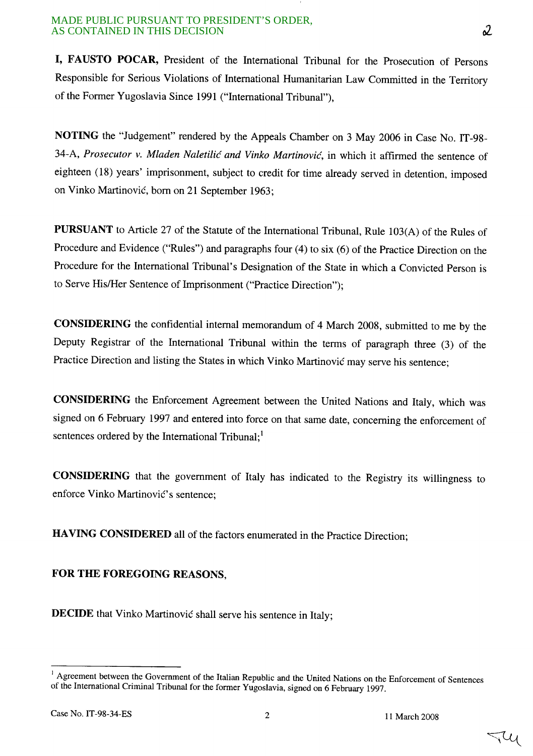#### MADE PUBLIC PURSUANT TO PRESIDENT'S ORDER, AS CONTAINED IN THIS DECISION

I, FAUSTO POCAR, President of the International Tribunal for the Prosecution of Persons Responsible for Serious Violations of International Humanitarian Law Committed in the Territory of the Former Yugoslavia Since 1991 ("International Tribunal"),

NOTING the "Judgement" rendered by the Appeals Chamber on 3 May 2006 in Case No. IT-98- 34-A, *Prosecutor v. Mladen Naletilic and Vinko Martinovic,* in which it affirmed the sentence of eighteen (18) years' imprisonment, subject to credit for time already served in detention, imposed on Vinko Martinovic, born on 21 September 1963;

PURSUANT to Article 27 of the Statute of the International Tribunal, Rule 103(A) of the Rules of Procedure and Evidence ("Rules") and paragraphs four (4) to six (6) of the Practice Direction on the Procedure for the International Tribunal's Designation of the State in which a Convicted Person is to Serve His/Her Sentence of Imprisonment ("Practice Direction");

CONSIDERING the confidential internal memorandum of 4 March 2008, submitted to me by the Deputy Registrar of the International Tribunal within the terms of paragraph three (3) of the Practice Direction and listing the States in which Vinko Martinovic may serve his sentence;

CONSIDERING the Enforcement Agreement between the United Nations and Italy, which was signed on 6 February 1997 and entered into force on that same date, concerning the enforcement of sentences ordered by the International Tribunal; $<sup>1</sup>$ </sup>

CONSIDERING that the government of Italy has indicated to the Registry its willingness to enforce Vinko Martinović's sentence;

HAVING CONSIDERED all of the factors enumerated in the Practice Direction;

# FOR THE FOREGOING REASONS,

DECIDE that Vinko Martinović shall serve his sentence in Italy;

<sup>&</sup>lt;sup>1</sup> Agreement between the Government of the Italian Republic and the United Nations on the Enforcement of Sentences of the International Criminal Tribunal for the former Yugoslavia, signed on 6 February 1997.